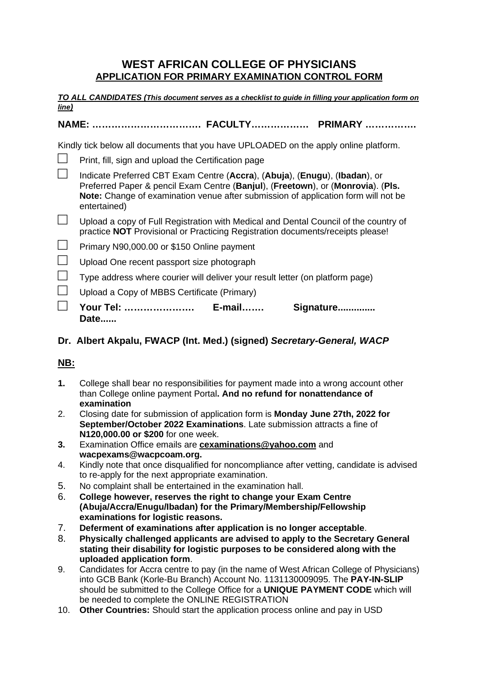## **WEST AFRICAN COLLEGE OF PHYSICIANS APPLICATION FOR PRIMARY EXAMINATION CONTROL FORM**

**TO ALL CANDIDATES (This document serves as a checklist to guide in filling your application form on line)** 

## **NAME: ……………………………. FACULTY……………… PRIMARY …………….**

Kindly tick below all documents that you have UPLOADED on the apply online platform.

| Your Tel: ……………………<br><b>E-mail</b><br>Signature<br>Date                                                                                                                                                                                                            |
|---------------------------------------------------------------------------------------------------------------------------------------------------------------------------------------------------------------------------------------------------------------------|
| Upload a Copy of MBBS Certificate (Primary)                                                                                                                                                                                                                         |
| Type address where courier will deliver your result letter (on platform page)                                                                                                                                                                                       |
| Upload One recent passport size photograph                                                                                                                                                                                                                          |
| Primary N90,000.00 or \$150 Online payment                                                                                                                                                                                                                          |
| Upload a copy of Full Registration with Medical and Dental Council of the country of<br>practice NOT Provisional or Practicing Registration documents/receipts please!                                                                                              |
| Indicate Preferred CBT Exam Centre (Accra), (Abuja), (Enugu), (Ibadan), or<br>Preferred Paper & pencil Exam Centre (Banjul), (Freetown), or (Monrovia). (Pls.<br>Note: Change of examination venue after submission of application form will not be<br>entertained) |
| Print, fill, sign and upload the Certification page                                                                                                                                                                                                                 |
| $\frac{1}{2}$                                                                                                                                                                                                                                                       |

## **Dr. Albert Akpalu, FWACP (Int. Med.) (signed) Secretary-General, WACP**

## **NB:**

- **1.** College shall bear no responsibilities for payment made into a wrong account other than College online payment Portal**. And no refund for nonattendance of examination**
- 2. Closing date for submission of application form is **Monday June 27th, 2022 for September/October 2022 Examinations**. Late submission attracts a fine of **N120,000.00 or \$200** for one week.
- **3.** Examination Office emails are **cexaminations@yahoo.com** and **wacpexams@wacpcoam.org.**
- 4. Kindly note that once disqualified for noncompliance after vetting, candidate is advised to re-apply for the next appropriate examination.
- 5. No complaint shall be entertained in the examination hall.
- 6. **College however, reserves the right to change your Exam Centre (Abuja/Accra/Enugu/Ibadan) for the Primary/Membership/Fellowship examinations for logistic reasons.**
- 7. **Deferment of examinations after application is no longer acceptable**.
- 8. **Physically challenged applicants are advised to apply to the Secretary General stating their disability for logistic purposes to be considered along with the uploaded application form**.
- 9. Candidates for Accra centre to pay (in the name of West African College of Physicians) into GCB Bank (Korle-Bu Branch) Account No. 1131130009095. The **PAY-IN-SLIP**  should be submitted to the College Office for a **UNIQUE PAYMENT CODE** which will be needed to complete the ONLINE REGISTRATION
- 10. **Other Countries:** Should start the application process online and pay in USD